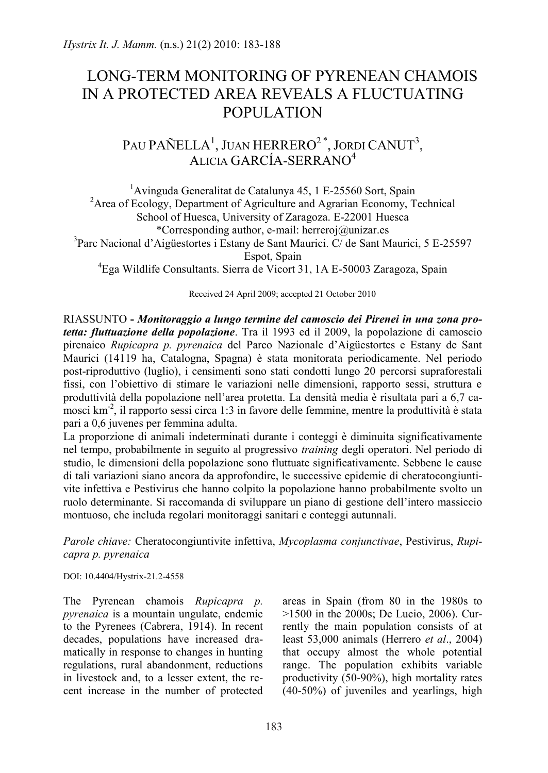## LONG-TERM MONITORING OF PYRENEAN CHAMOIS IN A PROTECTED AREA REVEALS A FLUCTUATING POPULATION

## PAU PAÑELLA<sup>1</sup>, JUAN HERRERO $^{2\,\ast},$  Jordi CANUT $^3,$ ALICIA GARCÍA-SERRANO<sup>4</sup>

<sup>1</sup> Avinguda Generalitat de Catalunya 45, 1 E-25560 Sort, Spain<sup>2</sup> Area of Ecology, Department of Agriculture and Agrazian Economy, <sup>7</sup> <sup>2</sup> Area of Ecology, Department of Agriculture and Agrarian Economy, Technical School of Huesca, University of Zaragoza. E-22001 Huesca \*Corresponding author, e-mail: herreroj@unizar.es <sup>3</sup>Parc Nacional d'Aigüestortes i Estany de Sant Maurici. C/ de Sant Maurici, 5 E-25597 Espot, Spain <sup>4</sup> Ega Wildlife Consultants. Sierra de Vicort 31, 1A E-50003 Zaragoza, Spain

Received 24 April 2009; accepted 21 October 2010

RIASSUNTO **-** *Monitoraggio a lungo termine del camoscio dei Pirenei in una zona protetta: fluttuazione della popolazione*. Tra il 1993 ed il 2009, la popolazione di camoscio pirenaico *Rupicapra p. pyrenaica* del Parco Nazionale d'Aigüestortes e Estany de Sant Maurici (14119 ha, Catalogna, Spagna) è stata monitorata periodicamente. Nel periodo post-riproduttivo (luglio), i censimenti sono stati condotti lungo 20 percorsi supraforestali fissi, con l'obiettivo di stimare le variazioni nelle dimensioni, rapporto sessi, struttura e produttività della popolazione nell'area protetta. La densità media è risultata pari a 6,7 camosci km-2 , il rapporto sessi circa 1:3 in favore delle femmine, mentre la produttività è stata pari a 0,6 juvenes per femmina adulta.

La proporzione di animali indeterminati durante i conteggi è diminuita significativamente nel tempo, probabilmente in seguito al progressivo *training* degli operatori. Nel periodo di studio, le dimensioni della popolazione sono fluttuate significativamente. Sebbene le cause di tali variazioni siano ancora da approfondire, le successive epidemie di cheratocongiuntivite infettiva e Pestivirus che hanno colpito la popolazione hanno probabilmente svolto un ruolo determinante. Si raccomanda di sviluppare un piano di gestione dell'intero massiccio montuoso, che includa regolari monitoraggi sanitari e conteggi autunnali.

*Parole chiave:* Cheratocongiuntivite infettiva, *Mycoplasma conjunctivae*, Pestivirus, *Rupicapra p. pyrenaica*

DOI: 10.4404/Hystrix-21.2-4558

The Pyrenean chamois *Rupicapra p. pyrenaica* is a mountain ungulate, endemic to the Pyrenees (Cabrera, 1914). In recent decades, populations have increased dramatically in response to changes in hunting regulations, rural abandonment, reductions in livestock and, to a lesser extent, the recent increase in the number of protected

areas in Spain (from 80 in the 1980s to >1500 in the 2000s; De Lucio, 2006). Currently the main population consists of at least 53,000 animals (Herrero *et al*., 2004) that occupy almost the whole potential range. The population exhibits variable productivity (50-90%), high mortality rates (40-50%) of juveniles and yearlings, high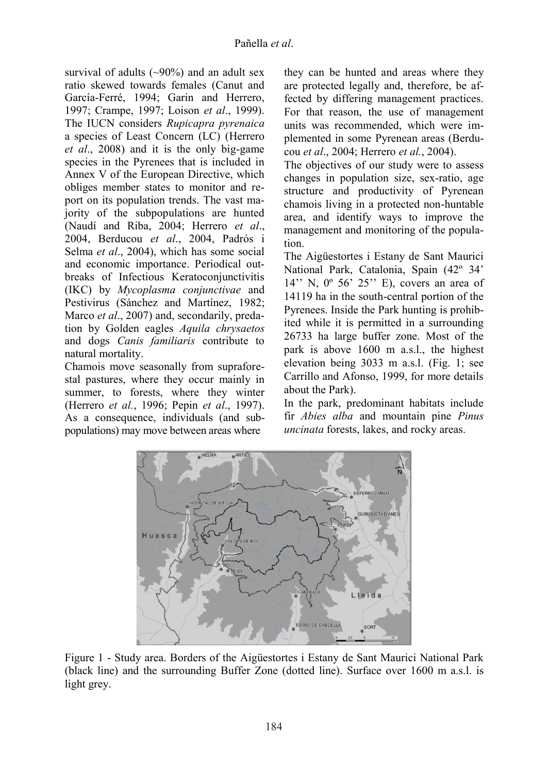survival of adults  $(\sim)90\%$  and an adult sex ratio skewed towards females (Canut and García-Ferré, 1994; Garin and Herrero, 1997; Crampe, 1997; Loison *et al*., 1999). The IUCN considers *Rupicapra pyrenaica* a species of Least Concern (LC) (Herrero *et al*., 2008) and it is the only big-game species in the Pyrenees that is included in Annex V of the European Directive, which obliges member states to monitor and report on its population trends. The vast majority of the subpopulations are hunted (Naudí and Riba, 2004; Herrero *et al*., 2004, Berducou *et al*., 2004, Padrós i Selma *et al*., 2004), which has some social and economic importance. Periodical outbreaks of Infectious Keratoconjunctivitis (IKC) by *Mycoplasma conjunctivae* and Pestivirus (Sánchez and Martínez, 1982; Marco *et al*., 2007) and, secondarily, predation by Golden eagles *Aquila chrysaetos* and dogs *Canis familiaris* contribute to natural mortality.

Chamois move seasonally from supraforestal pastures, where they occur mainly in summer, to forests, where they winter (Herrero *et al.*, 1996; Pepin *et al*., 1997). As a consequence, individuals (and subpopulations) may move between areas where

they can be hunted and areas where they are protected legally and, therefore, be affected by differing management practices. For that reason, the use of management units was recommended, which were implemented in some Pyrenean areas (Berducou *et al*., 2004; Herrero *et al.*, 2004).

The objectives of our study were to assess changes in population size, sex-ratio, age structure and productivity of Pyrenean chamois living in a protected non-huntable area, and identify ways to improve the management and monitoring of the population.

The Aigüestortes i Estany de Sant Maurici National Park, Catalonia, Spain (42º 34' 14'' N, 0º 56' 25'' E), covers an area of 14119 ha in the south-central portion of the Pyrenees. Inside the Park hunting is prohibited while it is permitted in a surrounding 26733 ha large buffer zone. Most of the park is above 1600 m a.s.l., the highest elevation being 3033 m a.s.l. (Fig. 1; see Carrillo and Afonso, 1999, for more details about the Park).

In the park, predominant habitats include fir *Abies alba* and mountain pine *Pinus uncinata* forests, lakes, and rocky areas.



Figure 1 - Study area. Borders of the Aigüestortes i Estany de Sant Maurici National Park (black line) and the surrounding Buffer Zone (dotted line). Surface over 1600 m a.s.l. is light grey.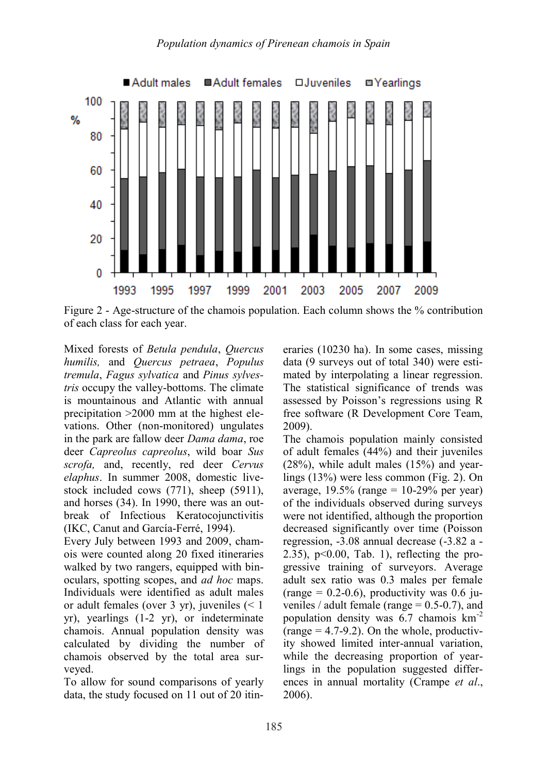

Figure 2 - Age-structure of the chamois population. Each column shows the % contribution of each class for each year.

Mixed forests of *Betula pendula*, *Quercus humilis,* and *Quercus petraea*, *Populus tremula*, *Fagus sylvatica* and *Pinus sylvestris* occupy the valley-bottoms. The climate is mountainous and Atlantic with annual precipitation >2000 mm at the highest elevations. Other (non-monitored) ungulates in the park are fallow deer *Dama dama*, roe deer *Capreolus capreolus*, wild boar *Sus scrofa,* and, recently, red deer *Cervus elaphus*. In summer 2008, domestic livestock included cows (771), sheep (5911), and horses (34). In 1990, there was an outbreak of Infectious Keratocojunctivitis (IKC, Canut and García-Ferré, 1994).

Every July between 1993 and 2009, chamois were counted along 20 fixed itineraries walked by two rangers, equipped with binoculars, spotting scopes, and *ad hoc* maps. Individuals were identified as adult males or adult females (over 3 yr), juveniles (< 1 yr), yearlings (1-2 yr), or indeterminate chamois. Annual population density was calculated by dividing the number of chamois observed by the total area surveyed.

To allow for sound comparisons of yearly data, the study focused on 11 out of 20 itineraries (10230 ha). In some cases, missing data (9 surveys out of total 340) were estimated by interpolating a linear regression. The statistical significance of trends was assessed by Poisson's regressions using R free software (R Development Core Team, 2009).

The chamois population mainly consisted of adult females (44%) and their juveniles (28%), while adult males (15%) and yearlings (13%) were less common (Fig. 2). On average,  $19.5\%$  (range = 10-29% per year) of the individuals observed during surveys were not identified, although the proportion decreased significantly over time (Poisson regression, -3.08 annual decrease (-3.82 a - 2.35),  $p<0.00$ , Tab. 1), reflecting the progressive training of surveyors. Average adult sex ratio was 0.3 males per female (range =  $0.2$ -0.6), productivity was 0.6 juveniles / adult female (range  $= 0.5 - 0.7$ ), and population density was 6.7 chamois km-2  $(range = 4.7-9.2)$ . On the whole, productivity showed limited inter-annual variation, while the decreasing proportion of yearlings in the population suggested differences in annual mortality (Crampe *et al*., 2006).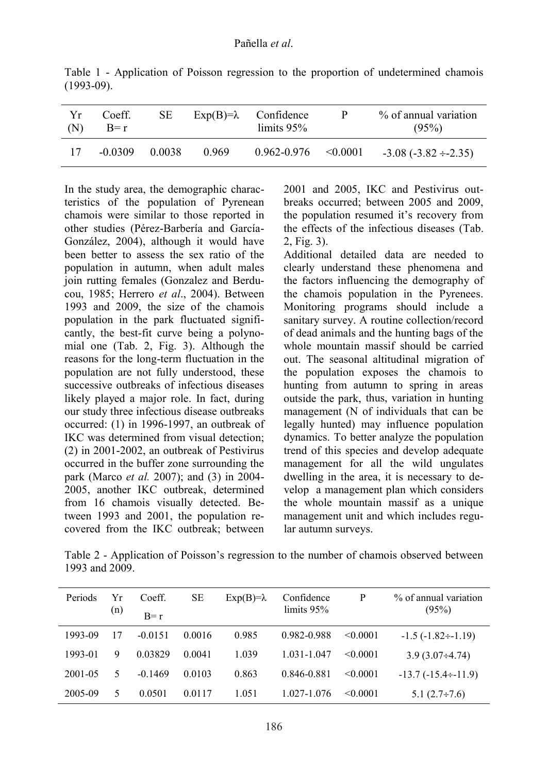| Yr<br>(N) | Coeff.<br>$B=r$ | SE.    | $Exp(B)=\lambda$ | Confidence<br>limits $95\%$ | P | % of annual variation<br>(95%) |
|-----------|-----------------|--------|------------------|-----------------------------|---|--------------------------------|
| 17        | -0.0309         | 0.0038 | 0.969            | $0.962 - 0.976 \le 0.0001$  |   | $-3.08(-3.82 \div 2.35)$       |

Table 1 - Application of Poisson regression to the proportion of undetermined chamois (1993-09).

In the study area, the demographic characteristics of the population of Pyrenean chamois were similar to those reported in other studies (Pérez-Barbería and García-González, 2004), although it would have been better to assess the sex ratio of the population in autumn, when adult males join rutting females (Gonzalez and Berducou, 1985; Herrero *et al*., 2004). Between 1993 and 2009, the size of the chamois population in the park fluctuated significantly, the best-fit curve being a polynomial one (Tab. 2, Fig. 3). Although the reasons for the long-term fluctuation in the population are not fully understood, these successive outbreaks of infectious diseases likely played a major role. In fact, during our study three infectious disease outbreaks occurred: (1) in 1996-1997, an outbreak of IKC was determined from visual detection; (2) in 2001-2002, an outbreak of Pestivirus occurred in the buffer zone surrounding the park (Marco *et al.* 2007); and (3) in 2004- 2005, another IKC outbreak, determined from 16 chamois visually detected. Between 1993 and 2001, the population recovered from the IKC outbreak; between 2001 and 2005, IKC and Pestivirus outbreaks occurred; between 2005 and 2009, the population resumed it's recovery from the effects of the infectious diseases (Tab. 2, Fig. 3).

Additional detailed data are needed to clearly understand these phenomena and the factors influencing the demography of the chamois population in the Pyrenees. Monitoring programs should include a sanitary survey. A routine collection/record of dead animals and the hunting bags of the whole mountain massif should be carried out. The seasonal altitudinal migration of the population exposes the chamois to hunting from autumn to spring in areas outside the park, thus, variation in hunting management (N of individuals that can be legally hunted) may influence population dynamics. To better analyze the population trend of this species and develop adequate management for all the wild ungulates dwelling in the area, it is necessary to develop a management plan which considers the whole mountain massif as a unique management unit and which includes regular autumn surveys.

Table 2 - Application of Poisson's regression to the number of chamois observed between 1993 and 2009.

| Periods | Yг<br>(n) | Coeff.<br>$B=r$ | SЕ     | $Exp(B)=\lambda$ | Confidence<br>limits $95%$ | P        | % of annual variation<br>(95%) |
|---------|-----------|-----------------|--------|------------------|----------------------------|----------|--------------------------------|
|         |           |                 |        |                  |                            |          |                                |
| 1993-09 | 17        | $-0.0151$       | 0.0016 | 0.985            | 0.982-0.988                | < 0.0001 | $-1.5(-1.82 \div -1.19)$       |
| 1993-01 | 9         | 0.03829         | 0.0041 | 1.039            | 1 031-1 047                | < 0.0001 | $3.9(3.07\div 4.74)$           |
| 2001-05 | $\sim$    | $-0.1469$       | 0.0103 | 0.863            | 0.846-0.881                | < 0.0001 | $-13.7(-15.4 \div 11.9)$       |
| 2005-09 | 5         | 0.0501          | 0.0117 | 1.051            | 1.027-1.076                | < 0.0001 | $5.1(2.7\div 7.6)$             |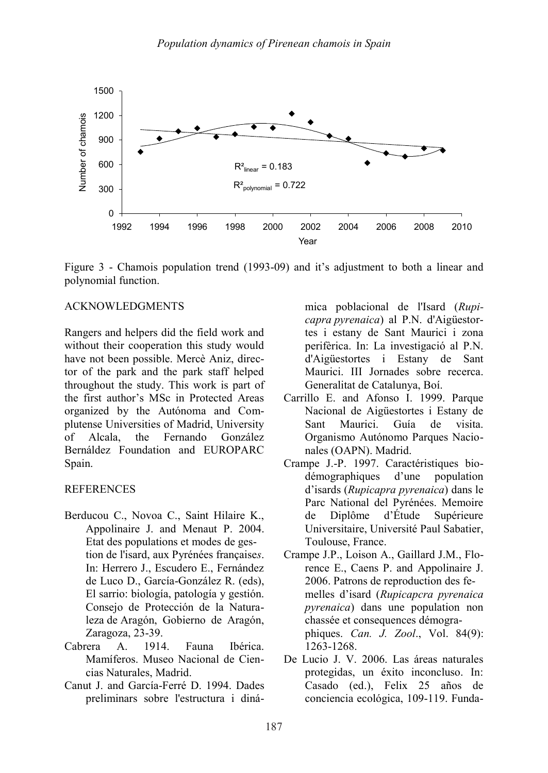

Figure 3 - Chamois population trend (1993-09) and it's adjustment to both a linear and polynomial function.

## ACKNOWLEDGMENTS

Rangers and helpers did the field work and without their cooperation this study would have not been possible. Mercè Aniz, director of the park and the park staff helped throughout the study. This work is part of the first author's MSc in Protected Areas organized by the Autónoma and Complutense Universities of Madrid, University of Alcala, the Fernando González Bernáldez Foundation and EUROPARC Spain.

## **REFERENCES**

- Berducou C., Novoa C., Saint Hilaire K., Appolinaire J. and Menaut P. 2004. Etat des populations et modes de gestion de l'isard, aux Pyrénées française*s*. In: Herrero J., Escudero E., Fernández de Luco D., García-González R. (eds), El sarrio: biología, patología y gestión. Consejo de Protección de la Naturaleza de Aragón, Gobierno de Aragón, Zaragoza, 23-39.
- Cabrera A. 1914. Fauna Ibérica. Mamíferos. Museo Nacional de Ciencias Naturales, Madrid.
- Canut J. and García-Ferré D. 1994. Dades preliminars sobre l'estructura i diná-

mica poblacional de l'Isard (*Rupicapra pyrenaica*) al P.N. d'Aigüestortes i estany de Sant Maurici i zona perifèrica. In: La investigació al P.N. d'Aigüestortes i Estany de Sant Maurici. III Jornades sobre recerca. Generalitat de Catalunya, Boí.

- Carrillo E. and Afonso I. 1999. Parque Nacional de Aigüestortes i Estany de Sant Maurici. Guía de visita. Organismo Autónomo Parques Nacionales (OAPN). Madrid.
- Crampe J.-P. 1997. Caractéristiques biodémographiques d'une population d'isards (*Rupicapra pyrenaica*) dans le Parc National del Pyrénées. Memoire de Diplôme d'Étude Supérieure Universitaire, Université Paul Sabatier, Toulouse, France.
- Crampe J.P., Loison A., Gaillard J.M., Florence E., Caens P. and Appolinaire J. 2006. Patrons de reproduction des femelles d'isard (*Rupicapcra pyrenaica pyrenaica*) dans une population non chassée et consequences démographiques. *Can. J. Zool*., Vol. 84(9): 1263-1268.
- De Lucio J. V. 2006. Las áreas naturales protegidas, un éxito inconcluso. In: Casado (ed.), Felix 25 años de conciencia ecológica, 109-119. Funda-